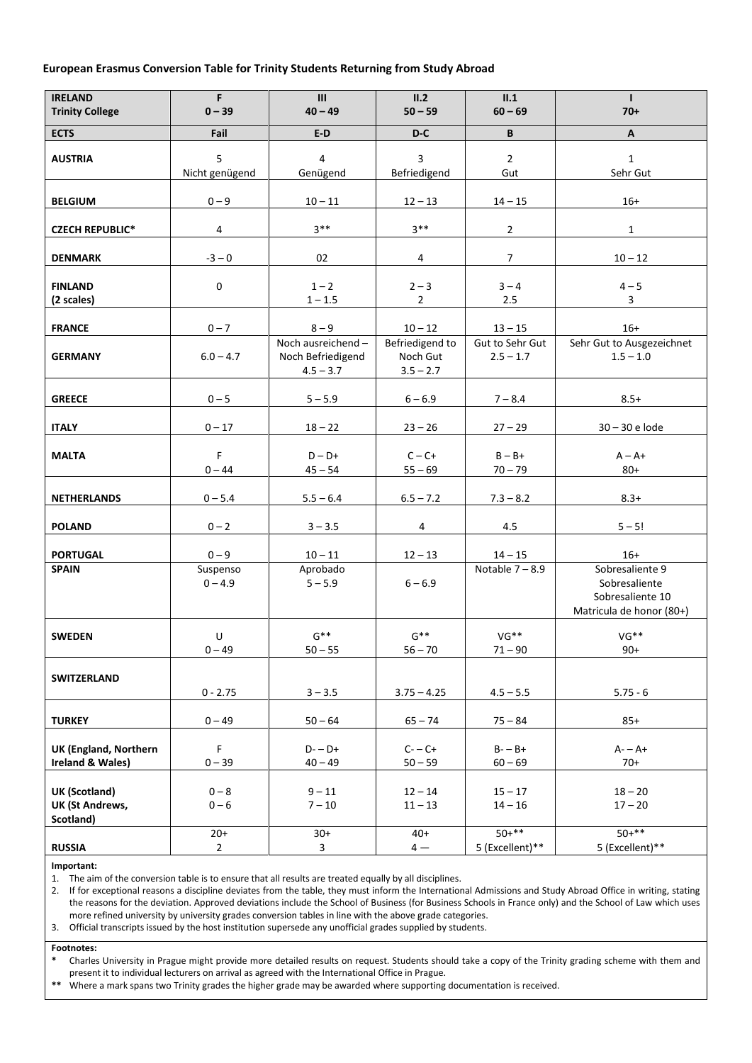# **European Erasmus Conversion Table for Trinity Students Returning from Study Abroad**

| <b>IRELAND</b><br><b>Trinity College</b>             | F.<br>$0 - 39$        | III<br>$40 - 49$                                      | II.2<br>$50 - 59$                          | II.1<br>$60 - 69$              | $\mathbf{L}$<br>$70+$                                                            |
|------------------------------------------------------|-----------------------|-------------------------------------------------------|--------------------------------------------|--------------------------------|----------------------------------------------------------------------------------|
| <b>ECTS</b>                                          | Fail                  | $E-D$                                                 | D-C                                        | B                              | $\mathsf{A}$                                                                     |
| <b>AUSTRIA</b>                                       | 5<br>Nicht genügend   | 4<br>Genügend                                         | 3<br>Befriedigend                          | $\overline{2}$<br>Gut          | $\mathbf{1}$<br>Sehr Gut                                                         |
| <b>BELGIUM</b>                                       | $0 - 9$               | $10 - 11$                                             | $12 - 13$                                  | $14 - 15$                      | $16+$                                                                            |
| <b>CZECH REPUBLIC*</b>                               | 4                     | $3***$                                                | $3***$                                     | $\overline{2}$                 | $\mathbf 1$                                                                      |
| <b>DENMARK</b>                                       | $-3 - 0$              | 02                                                    | 4                                          | $\overline{7}$                 | $10 - 12$                                                                        |
| <b>FINLAND</b><br>(2 scales)                         | $\mathbf 0$           | $1 - 2$<br>$1 - 1.5$                                  | $2 - 3$<br>$\overline{2}$                  | $3 - 4$<br>2.5                 | $4 - 5$<br>3                                                                     |
| <b>FRANCE</b>                                        | $0 - 7$               | $8 - 9$                                               | $10 - 12$                                  | $13 - 15$                      | $16+$                                                                            |
| <b>GERMANY</b>                                       | $6.0 - 4.7$           | Noch ausreichend-<br>Noch Befriedigend<br>$4.5 - 3.7$ | Befriedigend to<br>Noch Gut<br>$3.5 - 2.7$ | Gut to Sehr Gut<br>$2.5 - 1.7$ | Sehr Gut to Ausgezeichnet<br>$1.5 - 1.0$                                         |
| <b>GREECE</b>                                        | $0 - 5$               | $5 - 5.9$                                             | $6 - 6.9$                                  | $7 - 8.4$                      | $8.5+$                                                                           |
| <b>ITALY</b>                                         | $0 - 17$              | $18 - 22$                                             | $23 - 26$                                  | $27 - 29$                      | 30 - 30 e lode                                                                   |
| <b>MALTA</b>                                         | F<br>$0 - 44$         | $D - D +$<br>$45 - 54$                                | $C - C +$<br>$55 - 69$                     | $B - B +$<br>$70 - 79$         | $A - A +$<br>$80+$                                                               |
| <b>NETHERLANDS</b>                                   | $0 - 5.4$             | $5.5 - 6.4$                                           | $6.5 - 7.2$                                | $7.3 - 8.2$                    | $8.3+$                                                                           |
| <b>POLAND</b>                                        | $0 - 2$               | $3 - 3.5$                                             | 4                                          | 4.5                            | $5 - 5!$                                                                         |
| <b>PORTUGAL</b>                                      | $0 - 9$               | $10 - 11$                                             | $12 - 13$                                  | $14 - 15$                      | $16+$                                                                            |
| <b>SPAIN</b>                                         | Suspenso<br>$0 - 4.9$ | Aprobado<br>$5 - 5.9$                                 | $6 - 6.9$                                  | Notable $7 - 8.9$              | Sobresaliente 9<br>Sobresaliente<br>Sobresaliente 10<br>Matricula de honor (80+) |
| <b>SWEDEN</b>                                        | $\sf U$<br>$0 - 49$   | $G^{**}$<br>$50 - 55$                                 | $G^{**}$<br>$56 - 70$                      | VG**<br>$71 - 90$              | VG**<br>$90+$                                                                    |
| SWITZERLAND                                          | $0 - 2.75$            | $3 - 3.5$                                             | $3.75 - 4.25$                              | $4.5 - 5.5$                    | $5.75 - 6$                                                                       |
| <b>TURKEY</b>                                        | $0 - 49$              | $50 - 64$                                             | $65 - 74$                                  | $75 - 84$                      | $85+$                                                                            |
| <b>UK (England, Northern</b><br>Ireland & Wales)     | F<br>$0 - 39$         | $D - D +$<br>$40 - 49$                                | $C - C +$<br>$50 - 59$                     | $B - B +$<br>$60 - 69$         | $A - A +$<br>$70+$                                                               |
| UK (Scotland)<br><b>UK (St Andrews,</b><br>Scotland) | $0 - 8$<br>$0 - 6$    | $9 - 11$<br>$7 - 10$                                  | $12 - 14$<br>$11 - 13$                     | $15 - 17$<br>$14 - 16$         | $18 - 20$<br>$17 - 20$                                                           |
| <b>RUSSIA</b>                                        | $20+$<br>$2^{\circ}$  | $30+$<br>$\mathbf{3}$                                 | $40+$<br>$4-$                              | $50+***$<br>5 (Excellent)**    | $50+***$<br>5 (Excellent)**                                                      |

### **Important:**

1. The aim of the conversion table is to ensure that all results are treated equally by all disciplines.

2. If for exceptional reasons a discipline deviates from the table, they must inform the International Admissions and Study Abroad Office in writing, stating the reasons for the deviation. Approved deviations include the School of Business (for Business Schools in France only) and the School of Law which uses more refined university by university grades conversion tables in line with the above grade categories.

3. Official transcripts issued by the host institution supersede any unofficial grades supplied by students.

#### **Footnotes:**

**\*** Charles University in Prague might provide more detailed results on request. Students should take a copy of the Trinity grading scheme with them and present it to individual lecturers on arrival as agreed with the International Office in Prague.

**\*\*** Where a mark spans two Trinity grades the higher grade may be awarded where supporting documentation is received.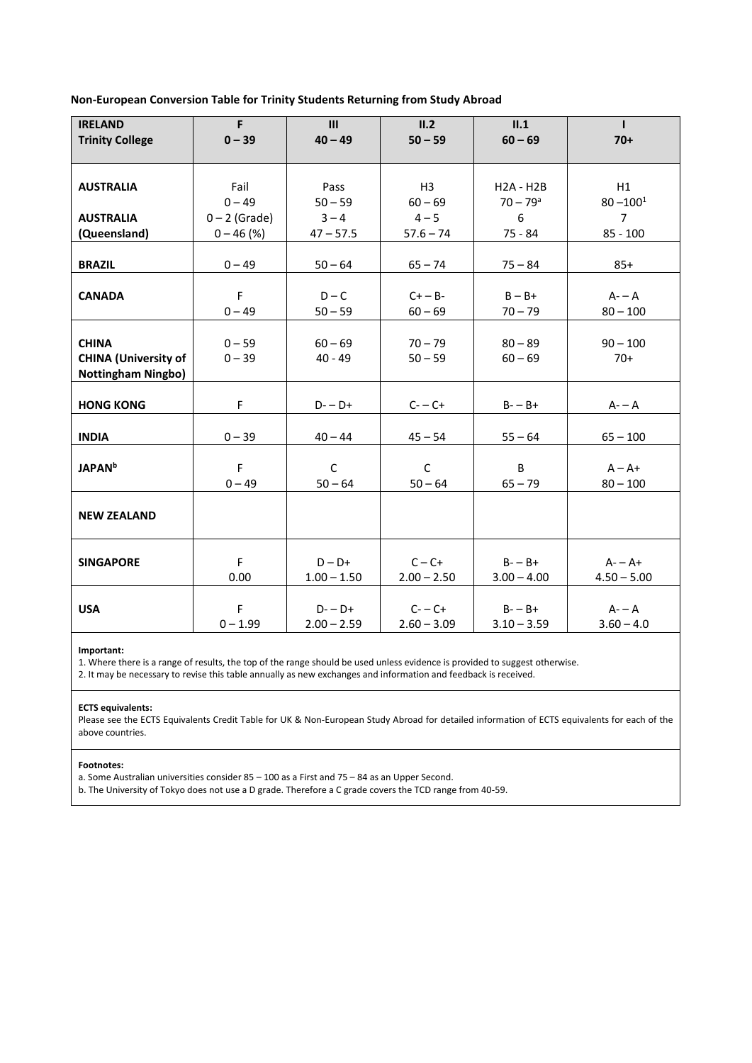**Non-European Conversion Table for Trinity Students Returning from Study Abroad**

| <b>IRELAND</b>              | F               | III                       | II.2           | II.1                        | $\mathbf{I}$                  |
|-----------------------------|-----------------|---------------------------|----------------|-----------------------------|-------------------------------|
| <b>Trinity College</b>      | $0 - 39$        | $40 - 49$                 | $50 - 59$      | $60 - 69$                   | $70+$                         |
|                             |                 |                           |                |                             |                               |
|                             |                 |                           |                |                             |                               |
| <b>AUSTRALIA</b>            | Fail            | Pass                      | H <sub>3</sub> | $H2A - H2B$                 | H1                            |
|                             | $0 - 49$        | $50 - 59$                 | $60 - 69$      | $70 - 79$ <sup>a</sup><br>6 | $80 - 1001$<br>$\overline{7}$ |
| <b>AUSTRALIA</b>            | $0 - 2$ (Grade) | $3 - 4$                   | $4 - 5$        |                             |                               |
| (Queensland)                | $0 - 46$ (%)    | $47 - 57.5$               | $57.6 - 74$    | 75 - 84                     | $85 - 100$                    |
| <b>BRAZIL</b>               | $0 - 49$        | $50 - 64$                 | $65 - 74$      | $75 - 84$                   | $85+$                         |
|                             |                 |                           |                |                             |                               |
| <b>CANADA</b>               | F               | $D - C$                   | $C + - B -$    | $B - B +$                   | $A - A$                       |
|                             | $0 - 49$        | $50 - 59$                 | $60 - 69$      | $70 - 79$                   | $80 - 100$                    |
|                             |                 |                           |                |                             |                               |
| <b>CHINA</b>                | $0 - 59$        | $60 - 69$                 | $70 - 79$      | $80 - 89$                   | $90 - 100$                    |
| <b>CHINA (University of</b> | $0 - 39$        | $40 - 49$                 | $50 - 59$      | $60 - 69$                   | $70+$                         |
| <b>Nottingham Ningbo)</b>   |                 |                           |                |                             |                               |
|                             |                 |                           |                |                             |                               |
| <b>HONG KONG</b>            | F               | $D - D +$                 | $C - C +$      | $B - B +$                   | $A - A$                       |
|                             |                 |                           |                |                             |                               |
| <b>INDIA</b>                | $0 - 39$        | $40 - 44$                 | $45 - 54$      | $55 - 64$                   | $65 - 100$                    |
|                             | F               |                           |                | B                           |                               |
| <b>JAPAN</b> <sup>b</sup>   | $0 - 49$        | $\mathsf{C}$<br>$50 - 64$ | C<br>$50 - 64$ | $65 - 79$                   | $A - A +$<br>$80 - 100$       |
|                             |                 |                           |                |                             |                               |
| <b>NEW ZEALAND</b>          |                 |                           |                |                             |                               |
|                             |                 |                           |                |                             |                               |
|                             |                 |                           |                |                             |                               |
| <b>SINGAPORE</b>            | F               | $D - D +$                 | $C - C +$      | $B - B +$                   | $A - A +$                     |
|                             | 0.00            | $1.00 - 1.50$             | $2.00 - 2.50$  | $3.00 - 4.00$               | $4.50 - 5.00$                 |
|                             |                 |                           |                |                             |                               |
| <b>USA</b>                  | F               | $D - D +$                 | $C - C +$      | $B - B +$                   | $A - A$                       |
|                             | $0 - 1.99$      | $2.00 - 2.59$             | $2.60 - 3.09$  | $3.10 - 3.59$               | $3.60 - 4.0$                  |

# **Important:**

1. Where there is a range of results, the top of the range should be used unless evidence is provided to suggest otherwise.

2. It may be necessary to revise this table annually as new exchanges and information and feedback is received.

## **ECTS equivalents:**

Please see the ECTS Equivalents Credit Table for UK & Non-European Study Abroad for detailed information of ECTS equivalents for each of the above countries.

## **Footnotes:**

a. Some Australian universities consider 85 – 100 as a First and 75 – 84 as an Upper Second.

b. The University of Tokyo does not use a D grade. Therefore a C grade covers the TCD range from 40-59.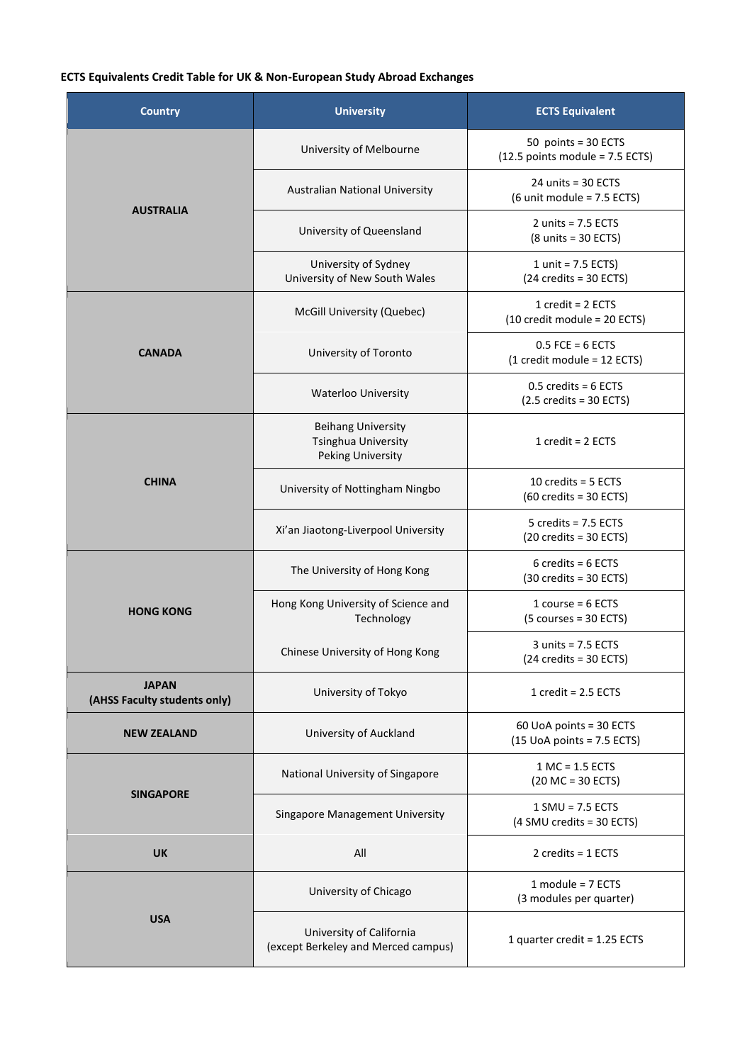## **ECTS Equivalents Credit Table for UK & Non-European Study Abroad Exchanges**

| <b>Country</b>                               | <b>University</b>                                                                   | <b>ECTS Equivalent</b>                                              |  |
|----------------------------------------------|-------------------------------------------------------------------------------------|---------------------------------------------------------------------|--|
|                                              | University of Melbourne                                                             | 50 points = 30 ECTS<br>$(12.5$ points module = 7.5 ECTS)            |  |
|                                              | <b>Australian National University</b>                                               | $24$ units = 30 ECTS<br>$(6$ unit module = 7.5 ECTS)                |  |
| <b>AUSTRALIA</b>                             | University of Queensland                                                            | 2 units = $7.5$ ECTS<br>$(8 \text{ units} = 30 \text{ ECTS})$       |  |
|                                              | University of Sydney<br>University of New South Wales                               | 1 unit = $7.5$ ECTS)<br>$(24 \text{ credits} = 30 \text{ ECTS})$    |  |
|                                              | McGill University (Quebec)                                                          | 1 $credit = 2$ $ECTS$<br>(10 credit module = 20 ECTS)               |  |
| <b>CANADA</b>                                | University of Toronto                                                               | $0.5$ FCE = 6 ECTS<br>$(1 \text{ credit module} = 12 \text{ ECTS})$ |  |
|                                              | <b>Waterloo University</b>                                                          | $0.5$ credits = 6 ECTS<br>$(2.5 \text{ credits} = 30 \text{ ECTS})$ |  |
|                                              | <b>Beihang University</b><br><b>Tsinghua University</b><br><b>Peking University</b> | 1 $credit = 2$ $ECTS$                                               |  |
| <b>CHINA</b>                                 | University of Nottingham Ningbo                                                     | 10 credits = $5$ ECTS<br>$(60 \text{ credits} = 30 \text{ ECTS})$   |  |
|                                              | Xi'an Jiaotong-Liverpool University                                                 | 5 credits = 7.5 ECTS<br>$(20 \text{ credits} = 30 \text{ ECTS})$    |  |
|                                              | The University of Hong Kong                                                         | $6$ credits = $6$ ECTS<br>$(30 \text{ credits} = 30 \text{ ECTS})$  |  |
| <b>HONG KONG</b>                             | Hong Kong University of Science and<br>Technology                                   | 1 course = $6$ ECTS<br>$(5 \text{ courses} = 30 \text{ ECTS})$      |  |
|                                              | Chinese University of Hong Kong                                                     | $3$ units = 7.5 ECTS<br>$(24 \text{ credits} = 30 \text{ ECTS})$    |  |
| <b>JAPAN</b><br>(AHSS Faculty students only) | University of Tokyo                                                                 | 1 $credit = 2.5$ ECTS                                               |  |
| <b>NEW ZEALAND</b>                           | University of Auckland                                                              | 60 UoA points = 30 ECTS<br>$(15$ UoA points = 7.5 ECTS)             |  |
| <b>SINGAPORE</b>                             | National University of Singapore                                                    | $1$ MC = $1.5$ ECTS<br>$(20 MC = 30 ECTS)$                          |  |
|                                              | Singapore Management University                                                     | $1$ SMU = 7.5 ECTS<br>(4 SMU credits = 30 ECTS)                     |  |
| <b>UK</b>                                    | All                                                                                 | 2 credits = $1$ ECTS                                                |  |
|                                              | University of Chicago                                                               | 1 module = $7$ ECTS<br>(3 modules per quarter)                      |  |
| <b>USA</b>                                   | University of California<br>(except Berkeley and Merced campus)                     | 1 quarter credit = 1.25 ECTS                                        |  |